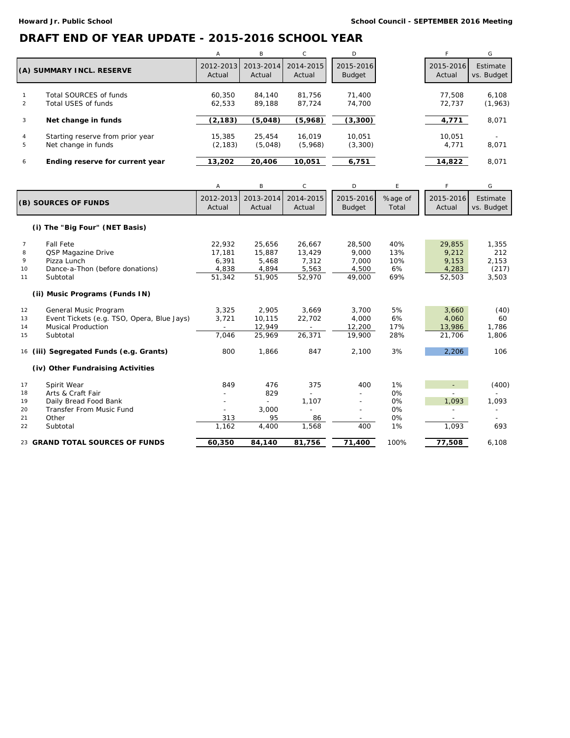## **DRAFT END OF YEAR UPDATE - 2015-2016 SCHOOL YEAR**

|                           |                                                         | $\mathsf{A}$       | B.                            | $\mathsf{C}$        | D                   |                     | G                      |
|---------------------------|---------------------------------------------------------|--------------------|-------------------------------|---------------------|---------------------|---------------------|------------------------|
| (A) SUMMARY INCL. RESERVE |                                                         | Actual             | 2012-2013 2013-2014<br>Actual | 2014-2015<br>Actual | 2015-2016<br>Budget | 2015-2016<br>Actual | Estimate<br>vs. Budget |
|                           | Total SOURCES of funds<br>Total USES of funds           | 60.350<br>62.533   | 84.140<br>89.188              | 81.756<br>87.724    | 71.400<br>74.700    | 77.508<br>72.737    | 6.108<br>(1,963)       |
| 3                         | Net change in funds                                     | (2, 183)           | (5,048)                       | (5,968)             | (3,300)             | 4,771               | 8,071                  |
| 4<br>5                    | Starting reserve from prior year<br>Net change in funds | 15,385<br>(2, 183) | 25,454<br>(5,048)             | 16.019<br>(5,968)   | 10.051<br>(3,300)   | 10.051<br>4.771     | ۰<br>8,071             |
| 6                         | Ending reserve for current year                         | 13,202             | 20,406                        | 10.051              | 6,751               | 14,822              | 8.071                  |

|                      |                                            | Α         | B         | C         | D             | E       | F.        | G                            |
|----------------------|--------------------------------------------|-----------|-----------|-----------|---------------|---------|-----------|------------------------------|
| (B) SOURCES OF FUNDS |                                            | 2012-2013 | 2013-2014 | 2014-2015 | 2015-2016     | %age of | 2015-2016 | Estimate                     |
|                      |                                            | Actual    | Actual    | Actual    | <b>Budget</b> | Total   | Actual    | vs. Budget                   |
|                      | (i) The "Big Four" (NET Basis)             |           |           |           |               |         |           |                              |
| $\overline{7}$       | <b>Fall Fete</b>                           | 22,932    | 25.656    | 26.667    | 28,500        | 40%     | 29,855    | 1,355                        |
| 8                    | QSP Magazine Drive                         | 17.181    | 15,887    | 13,429    | 9.000         | 13%     | 9,212     | 212                          |
| 9                    | Pizza Lunch                                | 6,391     | 5,468     | 7,312     | 7,000         | 10%     | 9,153     | 2,153                        |
| 10                   | Dance-a-Thon (before donations)            | 4,838     | 4,894     | 5,563     | 4,500         | 6%      | 4,283     | (217)                        |
| 11                   | Subtotal                                   | 51,342    | 51,905    | 52,970    | 49,000        | 69%     | 52,503    | 3,503                        |
|                      | (ii) Music Programs (Funds IN)             |           |           |           |               |         |           |                              |
| 12                   | General Music Program                      | 3,325     | 2,905     | 3,669     | 3,700         | 5%      | 3,660     | (40)                         |
| 13                   | Event Tickets (e.g. TSO, Opera, Blue Jays) | 3,721     | 10.115    | 22,702    | 4.000         | 6%      | 4,060     | 60                           |
| 14                   | <b>Musical Production</b>                  |           | 12.949    |           | 12,200        | 17%     | 13,986    | 1.786                        |
| 15                   | Subtotal                                   | 7,046     | 25,969    | 26,371    | 19,900        | 28%     | 21,706    | 1,806                        |
| 16                   | (iii) Segregated Funds (e.g. Grants)       | 800       | 1,866     | 847       | 2,100         | 3%      | 2,206     | 106                          |
|                      | (iv) Other Fundraising Activities          |           |           |           |               |         |           |                              |
| 17                   | Spirit Wear                                | 849       | 476       | 375       | 400           | 1%      |           | (400)                        |
| 18                   | Arts & Craft Fair                          |           | 829       |           |               | 0%      |           |                              |
| 19                   | Daily Bread Food Bank                      |           |           | 1,107     |               | 0%      | 1,093     | 1,093                        |
| 20                   | Transfer From Music Fund                   |           | 3,000     | -         |               | 0%      |           | $\qquad \qquad \blacksquare$ |
| 21                   | Other                                      | 313       | 95        | 86        |               | 0%      |           |                              |
| 22                   | Subtotal                                   | 1,162     | 4,400     | 1.568     | 400           | 1%      | 1,093     | 693                          |
|                      | 23 GRAND TOTAL SOURCES OF FUNDS            | 60,350    | 84,140    | 81,756    | 71,400        | 100%    | 77,508    | 6,108                        |